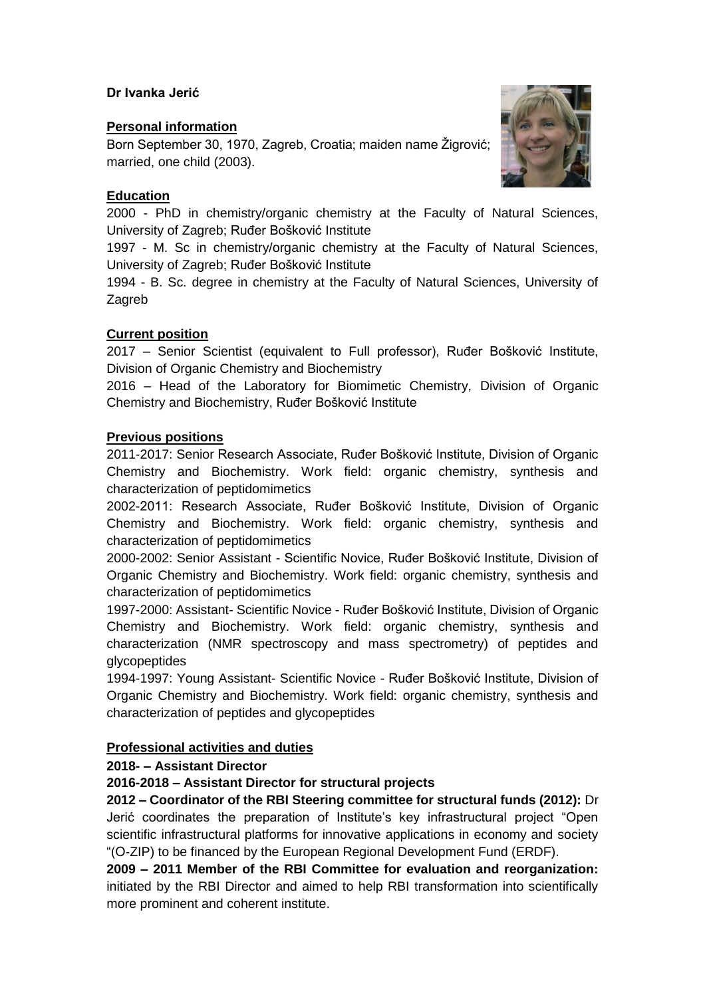### **Dr Ivanka Jerić**

#### **Personal information**

Born September 30, 1970, Zagreb, Croatia; maiden name Žigrović; married, one child (2003).



### **Education**

2000 - PhD in chemistry/organic chemistry at the Faculty of Natural Sciences, University of Zagreb; Ruđer Bošković Institute

1997 - M. Sc in chemistry/organic chemistry at the Faculty of Natural Sciences, University of Zagreb; Ruđer Bošković Institute

1994 - B. Sc. degree in chemistry at the Faculty of Natural Sciences, University of Zagreb

### **Current position**

2017 – Senior Scientist (equivalent to Full professor), Ruđer Bošković Institute, Division of Organic Chemistry and Biochemistry

2016 – Head of the Laboratory for Biomimetic Chemistry, Division of Organic Chemistry and Biochemistry, Ruđer Bošković Institute

### **Previous positions**

2011-2017: Senior Research Associate, Ruđer Bošković Institute, Division of Organic Chemistry and Biochemistry. Work field: organic chemistry, synthesis and characterization of peptidomimetics

2002-2011: Research Associate, Ruđer Bošković Institute, Division of Organic Chemistry and Biochemistry. Work field: organic chemistry, synthesis and characterization of peptidomimetics

2000-2002: Senior Assistant - Scientific Novice, Ruđer Bošković Institute, Division of Organic Chemistry and Biochemistry. Work field: organic chemistry, synthesis and characterization of peptidomimetics

1997-2000: Assistant- Scientific Novice - Ruđer Bošković Institute, Division of Organic Chemistry and Biochemistry. Work field: organic chemistry, synthesis and characterization (NMR spectroscopy and mass spectrometry) of peptides and glycopeptides

1994-1997: Young Assistant- Scientific Novice - Ruđer Bošković Institute, Division of Organic Chemistry and Biochemistry. Work field: organic chemistry, synthesis and characterization of peptides and glycopeptides

#### **Professional activities and duties**

## **2018- – Assistant Director**

**2016-2018 – Assistant Director for structural projects** 

**2012 – Coordinator of the RBI Steering committee for structural funds (2012):** Dr Jerić coordinates the preparation of Institute's key infrastructural project "Open scientific infrastructural platforms for innovative applications in economy and society "(O-ZIP) to be financed by the European Regional Development Fund (ERDF).

**2009 – 2011 Member of the RBI Committee for evaluation and reorganization:** initiated by the RBI Director and aimed to help RBI transformation into scientifically more prominent and coherent institute.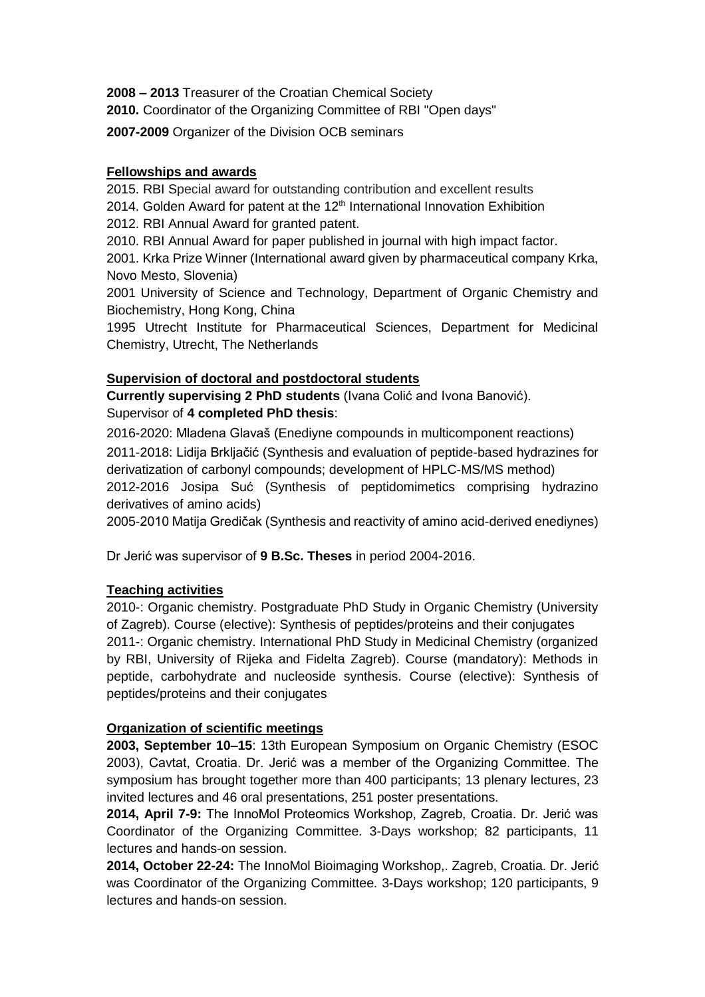**2008 – 2013** Treasurer of the Croatian Chemical Society

**2010.** Coordinator of the Organizing Committee of RBI "Open days"

**2007-2009** Organizer of the Division OCB seminars

## **Fellowships and awards**

2015. RBI Special award for outstanding contribution and excellent results

2014. Golden Award for patent at the 12<sup>th</sup> International Innovation Exhibition

2012. RBI Annual Award for granted patent.

2010. RBI Annual Award for paper published in journal with high impact factor.

2001. Krka Prize Winner (International award given by pharmaceutical company Krka, Novo Mesto, Slovenia)

2001 University of Science and Technology, Department of Organic Chemistry and Biochemistry, Hong Kong, China

1995 Utrecht Institute for Pharmaceutical Sciences, Department for Medicinal Chemistry, Utrecht, The Netherlands

## **Supervision of doctoral and postdoctoral students**

**Currently supervising 2 PhD students** (Ivana Colić and Ivona Banović). Supervisor of **4 completed PhD thesis**:

2016-2020: Mladena Glavaš (Enediyne compounds in multicomponent reactions)

2011-2018: Lidija Brkljačić (Synthesis and evaluation of peptide-based hydrazines for derivatization of carbonyl compounds; development of HPLC-MS/MS method)

2012-2016 Josipa Suć (Synthesis of peptidomimetics comprising hydrazino derivatives of amino acids)

2005-2010 Matija Gredičak (Synthesis and reactivity of amino acid-derived enediynes)

Dr Jerić was supervisor of **9 B.Sc. Theses** in period 2004-2016.

## **Teaching activities**

2010-: Organic chemistry. Postgraduate PhD Study in Organic Chemistry (University of Zagreb). Course (elective): Synthesis of peptides/proteins and their conjugates 2011-: Organic chemistry. International PhD Study in Medicinal Chemistry (organized by RBI, University of Rijeka and Fidelta Zagreb). Course (mandatory): Methods in peptide, carbohydrate and nucleoside synthesis. Course (elective): Synthesis of peptides/proteins and their conjugates

# **Organization of scientific meetings**

**2003, September 10–15**: 13th European Symposium on Organic Chemistry (ESOC 2003), Cavtat, Croatia. Dr. Jerić was a member of the Organizing Committee. The symposium has brought together more than 400 participants; 13 plenary lectures, 23 invited lectures and 46 oral presentations, 251 poster presentations.

**2014, April 7-9:** The InnoMol Proteomics Workshop, Zagreb, Croatia. Dr. Jerić was Coordinator of the Organizing Committee. 3-Days workshop; 82 participants, 11 lectures and hands-on session.

**2014, October 22-24:** The InnoMol Bioimaging Workshop,. Zagreb, Croatia. Dr. Jerić was Coordinator of the Organizing Committee. 3-Days workshop; 120 participants, 9 lectures and hands-on session.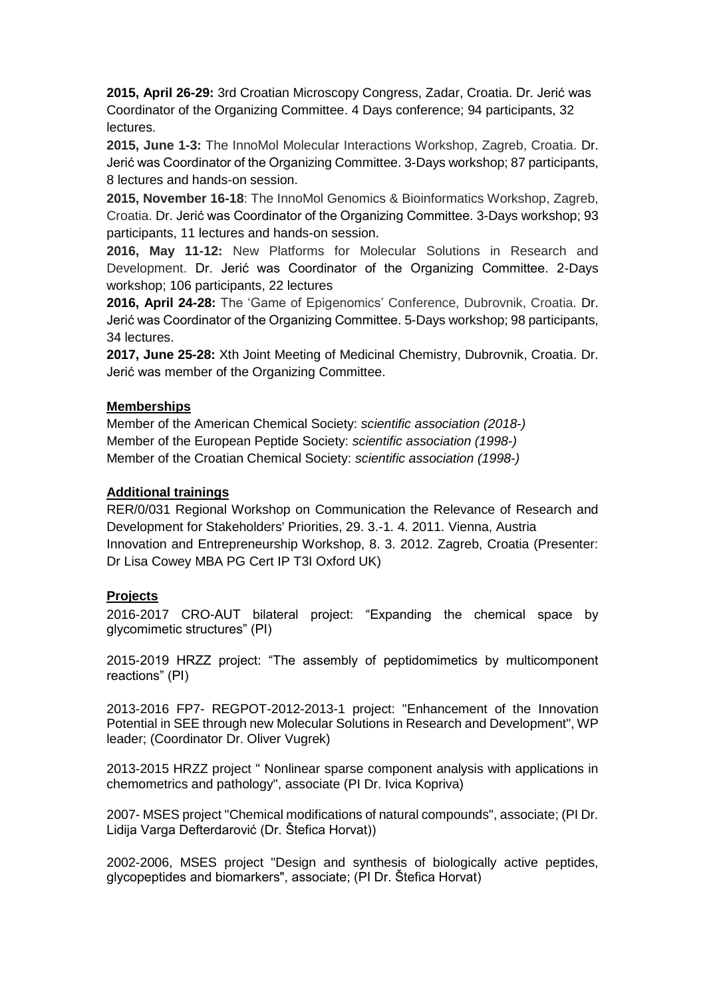**2015, April 26-29:** 3rd Croatian Microscopy Congress, Zadar, Croatia. Dr. Jerić was Coordinator of the Organizing Committee. 4 Days conference; 94 participants, 32 lectures.

**2015, June 1-3:** The InnoMol Molecular Interactions Workshop, Zagreb, Croatia. Dr. Jerić was Coordinator of the Organizing Committee. 3-Days workshop; 87 participants, 8 lectures and hands-on session.

**2015, November 16-18**: The InnoMol Genomics & Bioinformatics Workshop, Zagreb, Croatia. Dr. Jerić was Coordinator of the Organizing Committee. 3-Days workshop; 93 participants, 11 lectures and hands-on session.

**2016, May 11-12:** New Platforms for Molecular Solutions in Research and Development. Dr. Jerić was Coordinator of the Organizing Committee. 2-Days workshop; 106 participants, 22 lectures

**2016, April 24-28:** The 'Game of Epigenomics' Conference, Dubrovnik, Croatia. Dr. Jerić was Coordinator of the Organizing Committee. 5-Days workshop; 98 participants, 34 lectures.

**2017, June 25-28:** Xth Joint Meeting of Medicinal Chemistry, Dubrovnik, Croatia. Dr. Jerić was member of the Organizing Committee.

#### **Memberships**

Member of the American Chemical Society: *scientific association (2018-)* Member of the European Peptide Society: *scientific association (1998-)* Member of the Croatian Chemical Society: *scientific association (1998-)*

### **Additional trainings**

RER/0/031 Regional Workshop on Communication the Relevance of Research and Development for Stakeholders' Priorities, 29. 3.-1. 4. 2011. Vienna, Austria Innovation and Entrepreneurship Workshop, 8. 3. 2012. Zagreb, Croatia (Presenter: Dr Lisa Cowey MBA PG Cert IP T3I Oxford UK)

#### **Projects**

2016-2017 CRO-AUT bilateral project: "Expanding the chemical space by glycomimetic structures" (PI)

2015-2019 HRZZ project: "The assembly of peptidomimetics by multicomponent reactions" (PI)

2013-2016 FP7- REGPOT-2012-2013-1 project: "Enhancement of the Innovation Potential in SEE through new Molecular Solutions in Research and Development", WP leader; (Coordinator Dr. Oliver Vugrek)

2013-2015 HRZZ project " Nonlinear sparse component analysis with applications in chemometrics and pathology", associate (PI Dr. Ivica Kopriva)

2007- MSES project "Chemical modifications of natural compounds", associate; (PI Dr. Lidija Varga Defterdarović (Dr. Štefica Horvat))

2002-2006, MSES project "Design and synthesis of biologically active peptides, glycopeptides and biomarkers", associate; (PI Dr. Štefica Horvat)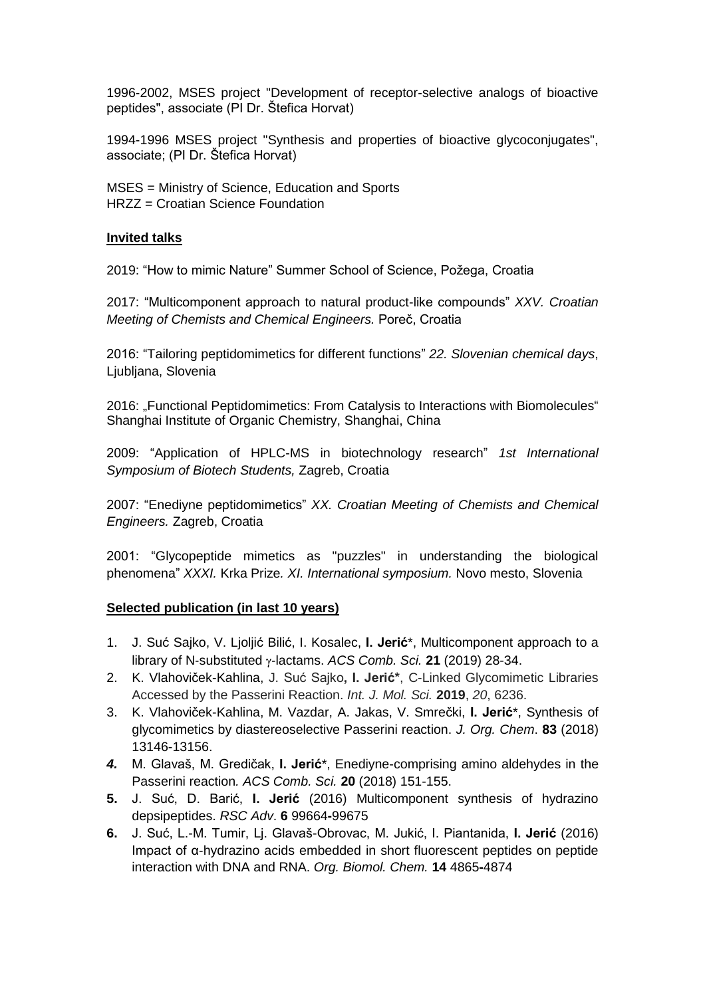1996-2002, MSES project "Development of receptor-selective analogs of bioactive peptides", associate (PI Dr. Štefica Horvat)

1994-1996 MSES project "Synthesis and properties of bioactive glycoconjugates", associate; (PI Dr. Štefica Horvat)

MSES = Ministry of Science, Education and Sports HRZZ = Croatian Science Foundation

#### **Invited talks**

2019: "How to mimic Nature" Summer School of Science, Požega, Croatia

2017: "Multicomponent approach to natural product-like compounds" *XXV. Croatian Meeting of Chemists and Chemical Engineers.* Poreč, Croatia

2016: ["Tailoring peptidomimetics for different functions"](http://bib.irb.hr/prikazi-rad?&rad=846025) *22. Slovenian chemical days*, Liubliana, Slovenia

2016: "Functional Peptidomimetics: From Catalysis to Interactions with Biomolecules" Shanghai Institute of Organic Chemistry, Shanghai, China

2009: ["Application of HPLC-MS in biotechnology research"](http://bib.irb.hr/prikazi-rad?&rad=428324) *1st International Symposium of Biotech Students,* Zagreb, Croatia

2007: ["Enediyne](http://bib.irb.hr/prikazi-rad?&rad=304907) peptidomimetics" *XX. Croatian Meeting of Chemists and Chemical Engineers.* Zagreb, Croatia

2001: ["Glycopeptide mimetics as "puzzles" in understanding the biological](http://bib.irb.hr/prikazi-rad?&rad=72310)  [phenomena"](http://bib.irb.hr/prikazi-rad?&rad=72310) *XXXI.* Krka Prize*. XI. International symposium.* Novo mesto, Slovenia

#### **Selected publication (in last 10 years)**

- 1. J. Suć Sajko, V. Ljoljić Bilić, I. Kosalec, **I. Jerić**\*, Multicomponent approach to a library of N‑substituted ‑lactams. *ACS Comb. Sci.* **21** (2019) 28-34.
- 2. K. Vlahoviček-Kahlina, J. Suć Sajko**, I. Jerić\***, C-Linked Glycomimetic Libraries Accessed by the Passerini Reaction. *Int. J. Mol. Sci.* **2019**, *20*, 6236.
- 3. K. Vlahoviček-Kahlina, M. Vazdar, A. Jakas, V. Smrečki, **I. Jerić**\*, Synthesis of glycomimetics by diastereoselective Passerini reaction. *J. Org. Chem*. **83** (2018) 13146-13156.
- *4.* M. Glavaš, M. Gredičak, **I. Jerić**\*, Enediyne-comprising amino aldehydes in the Passerini reaction*. ACS Comb. Sci.* **20** (2018) 151-155.
- **5.** J. Suć, D. Barić, **I. Jerić** (2016) [Multicomponent synthesis of hydrazino](http://bib.irb.hr/prikazi-rad?&rad=837738)  [depsipeptides.](http://bib.irb.hr/prikazi-rad?&rad=837738) *RSC Adv*. **6** 99664**-**99675
- **6.** J. Suć, L.-M. Tumir, Lj. Glavaš-Obrovac, M. Jukić, I. Piantanida, **I. Jerić** (2016) [Impact of α-hydrazino acids embedded in short fluorescent peptides on peptide](http://bib.irb.hr/prikazi-rad?&rad=815217)  [interaction with DNA and RNA.](http://bib.irb.hr/prikazi-rad?&rad=815217) *Org. Biomol. Chem.* **14** 4865**-**4874